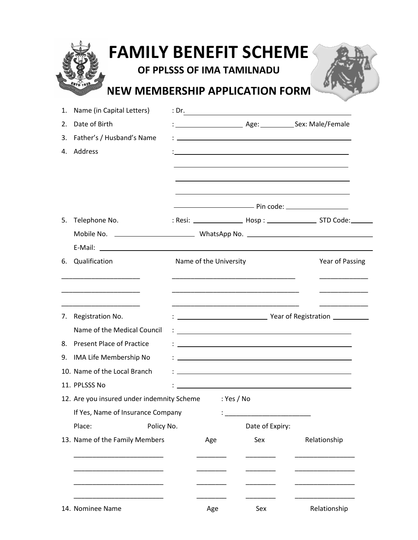| 1. | Name (in Capital Letters)                                                                                                                 |  |                        |                                                                                                                                                                                                                                   | : Dr.                                                      |  |  |
|----|-------------------------------------------------------------------------------------------------------------------------------------------|--|------------------------|-----------------------------------------------------------------------------------------------------------------------------------------------------------------------------------------------------------------------------------|------------------------------------------------------------|--|--|
| 2. | Date of Birth                                                                                                                             |  |                        |                                                                                                                                                                                                                                   |                                                            |  |  |
| 3. | Father's / Husband's Name                                                                                                                 |  |                        | $\frac{1}{2}$ . The contract of the contract of the contract of the contract of the contract of the contract of the contract of the contract of the contract of the contract of the contract of the contract of the contract of t |                                                            |  |  |
| 4. | Address                                                                                                                                   |  |                        |                                                                                                                                                                                                                                   | <u> 1989 - Johann Stoff, amerikansk politiker (* 1908)</u> |  |  |
|    |                                                                                                                                           |  |                        |                                                                                                                                                                                                                                   |                                                            |  |  |
| 5. | Telephone No.                                                                                                                             |  |                        |                                                                                                                                                                                                                                   |                                                            |  |  |
|    |                                                                                                                                           |  |                        |                                                                                                                                                                                                                                   |                                                            |  |  |
|    |                                                                                                                                           |  |                        |                                                                                                                                                                                                                                   |                                                            |  |  |
| 6. | Qualification                                                                                                                             |  | Name of the University |                                                                                                                                                                                                                                   |                                                            |  |  |
| 7. | <u> 1989 - Johann John Stone, mars et al. 1989 - 1989 - 1989 - 1989 - 1989 - 1989 - 1989 - 1989 - 1989 - 1989 - 1</u><br>Registration No. |  |                        | the control of the control of the control of the control of the control of the control of                                                                                                                                         |                                                            |  |  |
|    | Name of the Medical Council                                                                                                               |  |                        |                                                                                                                                                                                                                                   |                                                            |  |  |
|    | Present Place of Practice :                                                                                                               |  |                        |                                                                                                                                                                                                                                   |                                                            |  |  |
| 9. | IMA Life Membership No                                                                                                                    |  |                        |                                                                                                                                                                                                                                   |                                                            |  |  |
|    | 10. Name of the Local Branch                                                                                                              |  |                        |                                                                                                                                                                                                                                   |                                                            |  |  |
|    | 11. PPLSSS No                                                                                                                             |  |                        |                                                                                                                                                                                                                                   |                                                            |  |  |
|    | 12. Are you insured under indemnity Scheme<br>: Yes / No<br>If Yes, Name of Insurance Company                                             |  |                        |                                                                                                                                                                                                                                   |                                                            |  |  |
|    | Place:<br>Policy No.                                                                                                                      |  |                        | Date of Expiry:                                                                                                                                                                                                                   |                                                            |  |  |
|    | 13. Name of the Family Members                                                                                                            |  | Age                    | Sex                                                                                                                                                                                                                               | Relationship                                               |  |  |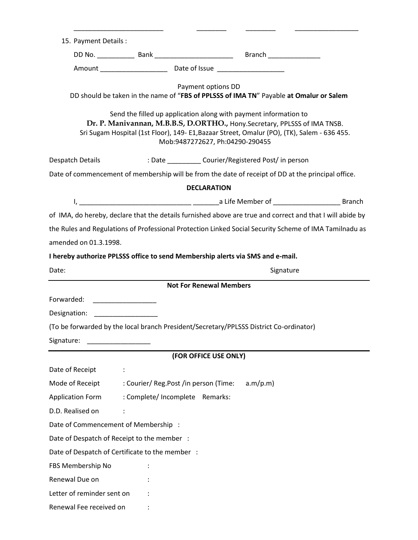| 15. Payment Details:                                                                                                                                                                                                                                                                                                                                                                            |                                       |                                |                                                                                                           |  |  |  |  |  |  |  |
|-------------------------------------------------------------------------------------------------------------------------------------------------------------------------------------------------------------------------------------------------------------------------------------------------------------------------------------------------------------------------------------------------|---------------------------------------|--------------------------------|-----------------------------------------------------------------------------------------------------------|--|--|--|--|--|--|--|
|                                                                                                                                                                                                                                                                                                                                                                                                 |                                       |                                |                                                                                                           |  |  |  |  |  |  |  |
|                                                                                                                                                                                                                                                                                                                                                                                                 |                                       |                                |                                                                                                           |  |  |  |  |  |  |  |
| Payment options DD<br>DD should be taken in the name of "FBS of PPLSSS of IMA TN" Payable at Omalur or Salem<br>Send the filled up application along with payment information to<br>Dr. P. Manivannan, M.B.B.S, D.ORTHO., Hony.Secretary, PPLSSS of IMA TNSB.<br>Sri Sugam Hospital (1st Floor), 149- E1, Bazaar Street, Omalur (PO), (TK), Salem - 636 455.<br>Mob:9487272627, Ph:04290-290455 |                                       |                                |                                                                                                           |  |  |  |  |  |  |  |
|                                                                                                                                                                                                                                                                                                                                                                                                 |                                       |                                |                                                                                                           |  |  |  |  |  |  |  |
|                                                                                                                                                                                                                                                                                                                                                                                                 |                                       |                                | Date of commencement of membership will be from the date of receipt of DD at the principal office.        |  |  |  |  |  |  |  |
|                                                                                                                                                                                                                                                                                                                                                                                                 |                                       | <b>DECLARATION</b>             |                                                                                                           |  |  |  |  |  |  |  |
|                                                                                                                                                                                                                                                                                                                                                                                                 |                                       |                                |                                                                                                           |  |  |  |  |  |  |  |
|                                                                                                                                                                                                                                                                                                                                                                                                 |                                       |                                | of IMA, do hereby, declare that the details furnished above are true and correct and that I will abide by |  |  |  |  |  |  |  |
|                                                                                                                                                                                                                                                                                                                                                                                                 |                                       |                                | the Rules and Regulations of Professional Protection Linked Social Security Scheme of IMA Tamilnadu as    |  |  |  |  |  |  |  |
| amended on 01.3.1998.                                                                                                                                                                                                                                                                                                                                                                           |                                       |                                |                                                                                                           |  |  |  |  |  |  |  |
| I hereby authorize PPLSSS office to send Membership alerts via SMS and e-mail.                                                                                                                                                                                                                                                                                                                  |                                       |                                |                                                                                                           |  |  |  |  |  |  |  |
| Date:                                                                                                                                                                                                                                                                                                                                                                                           |                                       |                                | Signature                                                                                                 |  |  |  |  |  |  |  |
|                                                                                                                                                                                                                                                                                                                                                                                                 |                                       | <b>Not For Renewal Members</b> |                                                                                                           |  |  |  |  |  |  |  |
| Forwarded: ___________________                                                                                                                                                                                                                                                                                                                                                                  |                                       |                                |                                                                                                           |  |  |  |  |  |  |  |
| Designation: __________________                                                                                                                                                                                                                                                                                                                                                                 |                                       |                                |                                                                                                           |  |  |  |  |  |  |  |
|                                                                                                                                                                                                                                                                                                                                                                                                 |                                       |                                | (To be forwarded by the local branch President/Secretary/PPLSSS District Co-ordinator)                    |  |  |  |  |  |  |  |
| Signature:                                                                                                                                                                                                                                                                                                                                                                                      |                                       |                                |                                                                                                           |  |  |  |  |  |  |  |
|                                                                                                                                                                                                                                                                                                                                                                                                 |                                       | (FOR OFFICE USE ONLY)          |                                                                                                           |  |  |  |  |  |  |  |
| Date of Receipt                                                                                                                                                                                                                                                                                                                                                                                 |                                       |                                |                                                                                                           |  |  |  |  |  |  |  |
| Mode of Receipt                                                                                                                                                                                                                                                                                                                                                                                 | : Courier/ Reg.Post /in person (Time: |                                | a.m/p.m)                                                                                                  |  |  |  |  |  |  |  |
| <b>Application Form</b>                                                                                                                                                                                                                                                                                                                                                                         | : Complete/ Incomplete Remarks:       |                                |                                                                                                           |  |  |  |  |  |  |  |
| D.D. Realised on                                                                                                                                                                                                                                                                                                                                                                                |                                       |                                |                                                                                                           |  |  |  |  |  |  |  |
| Date of Commencement of Membership :                                                                                                                                                                                                                                                                                                                                                            |                                       |                                |                                                                                                           |  |  |  |  |  |  |  |
| Date of Despatch of Receipt to the member :                                                                                                                                                                                                                                                                                                                                                     |                                       |                                |                                                                                                           |  |  |  |  |  |  |  |
| Date of Despatch of Certificate to the member :                                                                                                                                                                                                                                                                                                                                                 |                                       |                                |                                                                                                           |  |  |  |  |  |  |  |
| FBS Membership No                                                                                                                                                                                                                                                                                                                                                                               |                                       |                                |                                                                                                           |  |  |  |  |  |  |  |
| Renewal Due on                                                                                                                                                                                                                                                                                                                                                                                  |                                       |                                |                                                                                                           |  |  |  |  |  |  |  |
| Letter of reminder sent on                                                                                                                                                                                                                                                                                                                                                                      |                                       |                                |                                                                                                           |  |  |  |  |  |  |  |
| Renewal Fee received on                                                                                                                                                                                                                                                                                                                                                                         |                                       |                                |                                                                                                           |  |  |  |  |  |  |  |

\_\_\_\_\_\_\_\_\_\_\_\_\_\_\_\_\_\_\_\_\_\_\_\_ \_\_\_\_\_\_\_\_ \_\_\_\_\_\_\_\_ \_\_\_\_\_\_\_\_\_\_\_\_\_\_\_\_\_